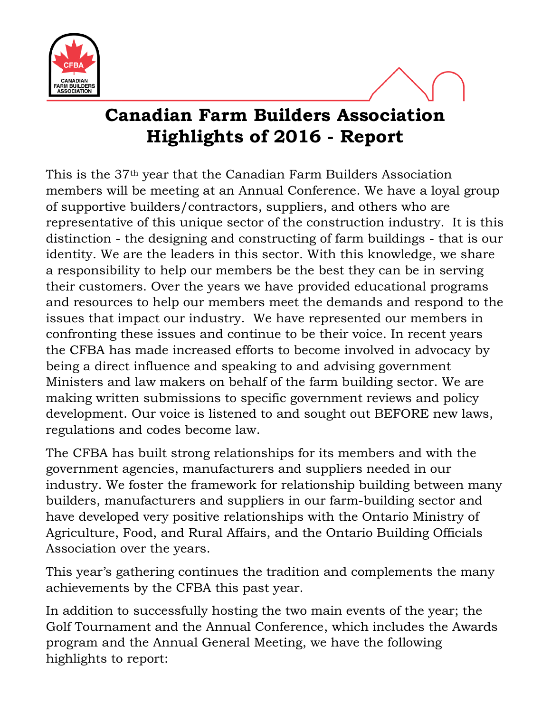

## **Canadian Farm Builders Association Highlights of 2016 - Report**

This is the 37th year that the Canadian Farm Builders Association members will be meeting at an Annual Conference. We have a loyal group of supportive builders/contractors, suppliers, and others who are representative of this unique sector of the construction industry. It is this distinction - the designing and constructing of farm buildings - that is our identity. We are the leaders in this sector. With this knowledge, we share a responsibility to help our members be the best they can be in serving their customers. Over the years we have provided educational programs and resources to help our members meet the demands and respond to the issues that impact our industry. We have represented our members in confronting these issues and continue to be their voice. In recent years the CFBA has made increased efforts to become involved in advocacy by being a direct influence and speaking to and advising government Ministers and law makers on behalf of the farm building sector. We are making written submissions to specific government reviews and policy development. Our voice is listened to and sought out BEFORE new laws, regulations and codes become law.

The CFBA has built strong relationships for its members and with the government agencies, manufacturers and suppliers needed in our industry. We foster the framework for relationship building between many builders, manufacturers and suppliers in our farm-building sector and have developed very positive relationships with the Ontario Ministry of Agriculture, Food, and Rural Affairs, and the Ontario Building Officials Association over the years.

This year's gathering continues the tradition and complements the many achievements by the CFBA this past year.

In addition to successfully hosting the two main events of the year; the Golf Tournament and the Annual Conference, which includes the Awards program and the Annual General Meeting, we have the following highlights to report: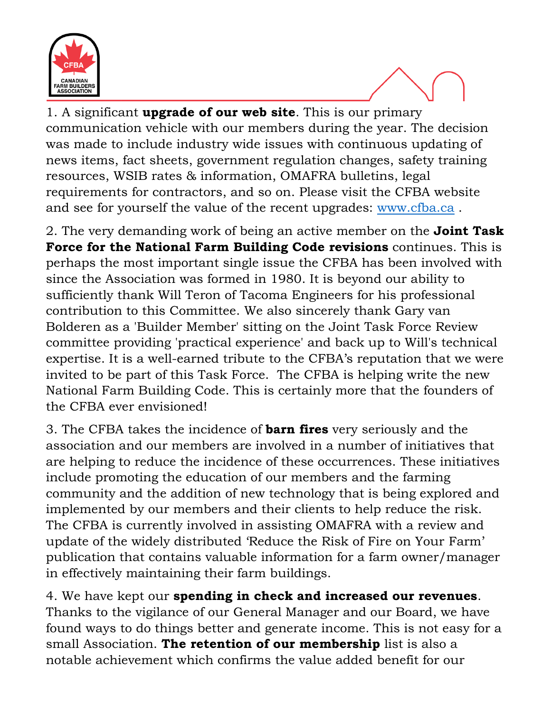

1. A significant **upgrade of our web site**. This is our primary communication vehicle with our members during the year. The decision was made to include industry wide issues with continuous updating of news items, fact sheets, government regulation changes, safety training resources, WSIB rates & information, OMAFRA bulletins, legal requirements for contractors, and so on. Please visit the CFBA website and see for yourself the value of the recent upgrades: [www.cfba.ca](http://www.cfba.ca/) .

2. The very demanding work of being an active member on the **Joint Task Force for the National Farm Building Code revisions** continues. This is perhaps the most important single issue the CFBA has been involved with since the Association was formed in 1980. It is beyond our ability to sufficiently thank Will Teron of Tacoma Engineers for his professional contribution to this Committee. We also sincerely thank Gary van Bolderen as a 'Builder Member' sitting on the Joint Task Force Review committee providing 'practical experience' and back up to Will's technical expertise. It is a well-earned tribute to the CFBA's reputation that we were invited to be part of this Task Force. The CFBA is helping write the new National Farm Building Code. This is certainly more that the founders of the CFBA ever envisioned!

3. The CFBA takes the incidence of **barn fires** very seriously and the association and our members are involved in a number of initiatives that are helping to reduce the incidence of these occurrences. These initiatives include promoting the education of our members and the farming community and the addition of new technology that is being explored and implemented by our members and their clients to help reduce the risk. The CFBA is currently involved in assisting OMAFRA with a review and update of the widely distributed 'Reduce the Risk of Fire on Your Farm' publication that contains valuable information for a farm owner/manager in effectively maintaining their farm buildings.

4. We have kept our **spending in check and increased our revenues**. Thanks to the vigilance of our General Manager and our Board, we have found ways to do things better and generate income. This is not easy for a small Association. **The retention of our membership** list is also a notable achievement which confirms the value added benefit for our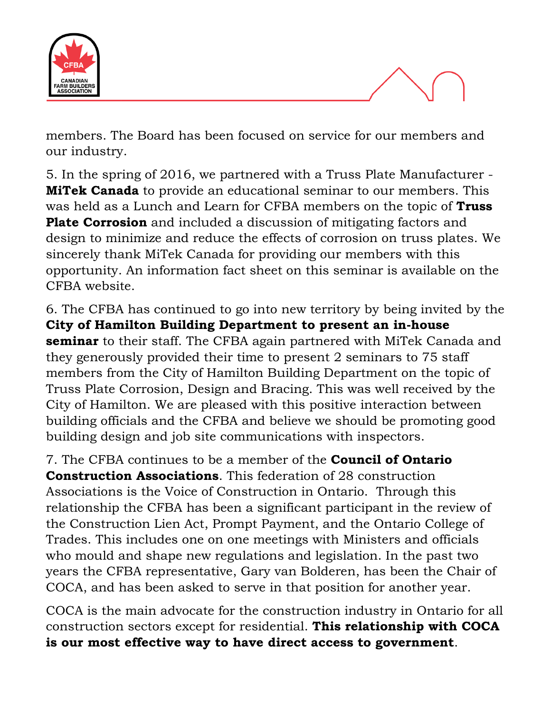

members. The Board has been focused on service for our members and our industry.

5. In the spring of 2016, we partnered with a Truss Plate Manufacturer - **MiTek Canada** to provide an educational seminar to our members. This was held as a Lunch and Learn for CFBA members on the topic of **Truss Plate Corrosion** and included a discussion of mitigating factors and design to minimize and reduce the effects of corrosion on truss plates. We sincerely thank MiTek Canada for providing our members with this opportunity. An information fact sheet on this seminar is available on the CFBA website.

6. The CFBA has continued to go into new territory by being invited by the **City of Hamilton Building Department to present an in-house seminar** to their staff. The CFBA again partnered with MiTek Canada and they generously provided their time to present 2 seminars to 75 staff members from the City of Hamilton Building Department on the topic of Truss Plate Corrosion, Design and Bracing. This was well received by the City of Hamilton. We are pleased with this positive interaction between building officials and the CFBA and believe we should be promoting good building design and job site communications with inspectors.

7. The CFBA continues to be a member of the **Council of Ontario Construction Associations**. This federation of 28 construction Associations is the Voice of Construction in Ontario. Through this relationship the CFBA has been a significant participant in the review of the Construction Lien Act, Prompt Payment, and the Ontario College of Trades. This includes one on one meetings with Ministers and officials who mould and shape new regulations and legislation. In the past two years the CFBA representative, Gary van Bolderen, has been the Chair of COCA, and has been asked to serve in that position for another year.

COCA is the main advocate for the construction industry in Ontario for all construction sectors except for residential. **This relationship with COCA is our most effective way to have direct access to government**.